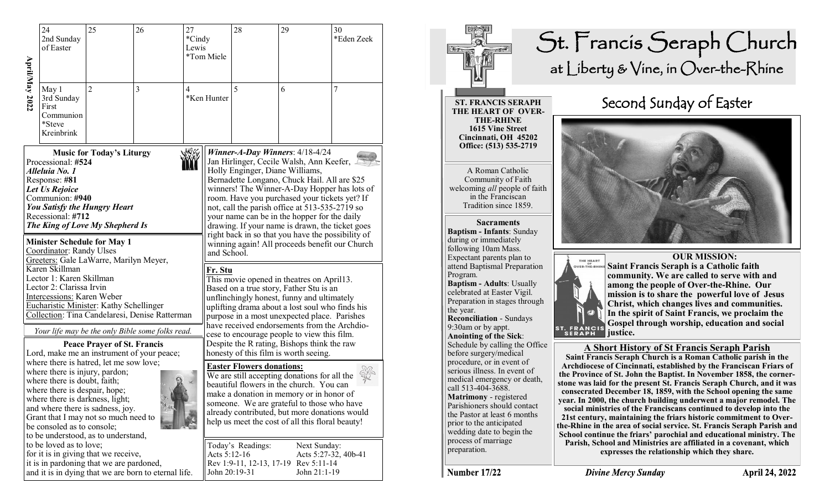| April/May 2022                                                                                                                                                                                                                                                                                                                                                                                                                                                                                        | 24<br>2nd Sunday<br>of Easter                                                                                                                                                                                                        | 25<br>26<br>27<br>*Cindy<br>Lewis  |                                                                                                | *Tom Miele                                                                                                                          | 28          | 29                                                                                                                                                                                                                                                                                                                                                                                                                                                                          | 30<br>*Eden Zeek |   |  |  |
|-------------------------------------------------------------------------------------------------------------------------------------------------------------------------------------------------------------------------------------------------------------------------------------------------------------------------------------------------------------------------------------------------------------------------------------------------------------------------------------------------------|--------------------------------------------------------------------------------------------------------------------------------------------------------------------------------------------------------------------------------------|------------------------------------|------------------------------------------------------------------------------------------------|-------------------------------------------------------------------------------------------------------------------------------------|-------------|-----------------------------------------------------------------------------------------------------------------------------------------------------------------------------------------------------------------------------------------------------------------------------------------------------------------------------------------------------------------------------------------------------------------------------------------------------------------------------|------------------|---|--|--|
|                                                                                                                                                                                                                                                                                                                                                                                                                                                                                                       | May 1<br>3rd Sunday<br>First<br>Communion<br>*Steve<br>Kreinbrink                                                                                                                                                                    | $\overline{2}$                     | 3                                                                                              | $\overline{4}$                                                                                                                      | *Ken Hunter | 5                                                                                                                                                                                                                                                                                                                                                                                                                                                                           | 6                | 7 |  |  |
|                                                                                                                                                                                                                                                                                                                                                                                                                                                                                                       | 小火火<br><b>Music for Today's Liturgy</b><br>Processional: #524<br>Alleluia No. 1<br>Response: #81<br>Let Us Rejoice<br>Communion: #940<br><b>You Satisfy the Hungry Heart</b><br>Recessional: #712<br>The King of Love My Shepherd Is |                                    |                                                                                                |                                                                                                                                     |             | Winner-A-Day Winners: $4/18-4/24$<br>Jan Hirlinger, Cecile Walsh, Ann Keefer,<br>Holly Enginger, Diane Williams,<br>Bernadette Longano, Chuck Hail. All are \$25<br>winners! The Winner-A-Day Hopper has lots of<br>room. Have you purchased your tickets yet? If<br>not, call the parish office at 513-535-2719 so<br>your name can be in the hopper for the daily<br>drawing. If your name is drawn, the ticket goes<br>right back in so that you have the possibility of |                  |   |  |  |
| <b>Minister Schedule for May 1</b><br>Coordinator: Randy Ulses<br>Greeters: Gale LaWarre, Marilyn Meyer,<br>Karen Skillman<br>Lector 1: Karen Skillman<br>Lector 2: Clarissa Irvin<br>Intercessions: Karen Weber<br>Eucharistic Minister: Kathy Schellinger<br>Collection: Tina Candelaresi, Denise Ratterman                                                                                                                                                                                         |                                                                                                                                                                                                                                      |                                    |                                                                                                |                                                                                                                                     |             | winning again! All proceeds benefit our Church<br>and School.<br>Fr. Stu<br>This movie opened in theatres on April13.<br>Based on a true story, Father Stu is an<br>unflinchingly honest, funny and ultimately<br>uplifting drama about a lost soul who finds his<br>purpose in a most unexpected place. Parishes<br>have received endorsements from the Archdio-                                                                                                           |                  |   |  |  |
|                                                                                                                                                                                                                                                                                                                                                                                                                                                                                                       |                                                                                                                                                                                                                                      | <b>Peace Prayer of St. Francis</b> | Your life may be the only Bible some folks read.<br>Lord, make me an instrument of your peace; | cese to encourage people to view this film.<br>Despite the R rating, Bishops think the raw<br>honesty of this film is worth seeing. |             |                                                                                                                                                                                                                                                                                                                                                                                                                                                                             |                  |   |  |  |
| where there is hatred, let me sow love;<br>where there is injury, pardon;<br>where there is doubt, faith;<br>where there is despair, hope;<br>where there is darkness, light;<br>and where there is sadness, joy.<br>Grant that I may not so much need to<br>be consoled as to console;<br>to be understood, as to understand,<br>to be loved as to love;<br>for it is in giving that we receive,<br>it is in pardoning that we are pardoned,<br>and it is in dying that we are born to eternal life. |                                                                                                                                                                                                                                      |                                    |                                                                                                |                                                                                                                                     |             | <b>Easter Flowers donations:</b><br>We are still accepting donations for all the<br>beautiful flowers in the church. You can<br>make a donation in memory or in honor of<br>someone. We are grateful to those who have<br>already contributed, but more donations would<br>help us meet the cost of all this floral beauty!                                                                                                                                                 |                  |   |  |  |
|                                                                                                                                                                                                                                                                                                                                                                                                                                                                                                       |                                                                                                                                                                                                                                      |                                    |                                                                                                |                                                                                                                                     |             | Today's Readings:<br>Next Sunday:<br>Acts 5:12-16<br>Acts 5:27-32, 40b-41<br>Rev 1:9-11, 12-13, 17-19 Rev 5:11-14<br>John 21:1-19<br>John 20:19-31                                                                                                                                                                                                                                                                                                                          |                  |   |  |  |